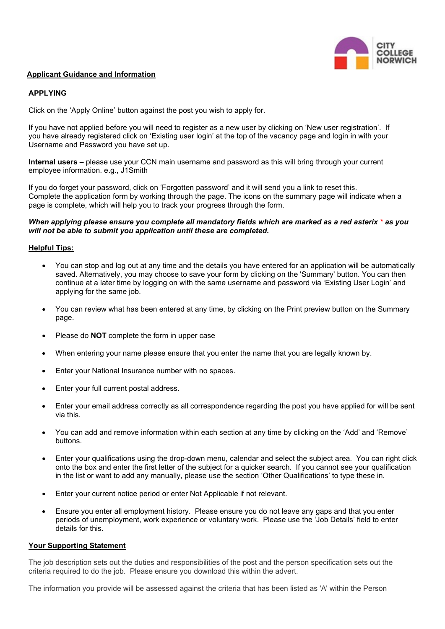

# **Applicant Guidance and Information**

# **APPLYING**

Click on the 'Apply Online' button against the post you wish to apply for.

If you have not applied before you will need to register as a new user by clicking on 'New user registration'. If you have already registered click on 'Existing user login' at the top of the vacancy page and login in with your Username and Password you have set up.

**Internal users** – please use your CCN main username and password as this will bring through your current employee information. e.g., J1Smith

If you do forget your password, click on 'Forgotten password' and it will send you a link to reset this. Complete the application form by working through the page. The icons on the summary page will indicate when a page is complete, which will help you to track your progress through the form.

## *When applying please ensure you complete all mandatory fields which are marked as a red asterix \* as you will not be able to submit you application until these are completed.*

### **Helpful Tips:**

- You can stop and log out at any time and the details you have entered for an application will be automatically saved. Alternatively, you may choose to save your form by clicking on the 'Summary' button. You can then continue at a later time by logging on with the same username and password via 'Existing User Login' and applying for the same job.
- You can review what has been entered at any time, by clicking on the Print preview button on the Summary page.
- Please do **NOT** complete the form in upper case
- When entering your name please ensure that you enter the name that you are legally known by.
- Enter your National Insurance number with no spaces.
- Enter your full current postal address.
- Enter your email address correctly as all correspondence regarding the post you have applied for will be sent via this.
- You can add and remove information within each section at any time by clicking on the 'Add' and 'Remove' buttons.
- Enter your qualifications using the drop-down menu, calendar and select the subject area. You can right click onto the box and enter the first letter of the subject for a quicker search. If you cannot see your qualification in the list or want to add any manually, please use the section 'Other Qualifications' to type these in.
- Enter your current notice period or enter Not Applicable if not relevant.
- Ensure you enter all employment history. Please ensure you do not leave any gaps and that you enter periods of unemployment, work experience or voluntary work. Please use the 'Job Details' field to enter details for this.

# **Your Supporting Statement**

The job description sets out the duties and responsibilities of the post and the person specification sets out the criteria required to do the job. Please ensure you download this within the advert.

The information you provide will be assessed against the criteria that has been listed as 'A' within the Person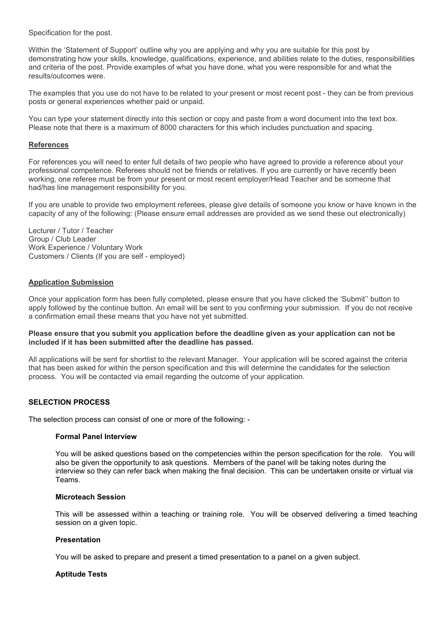Specification for the post.

Within the 'Statement of Support' outline why you are applying and why you are suitable for this post by demonstrating how your skills, knowledge, qualifications, experience, and abilities relate to the duties, responsibilities and criteria of the post. Provide examples of what you have done, what you were responsible for and what the results/outcomes were.

The examples that you use do not have to be related to your present or most recent post - they can be from previous posts or general experiences whether paid or unpaid.

You can type your statement directly into this section or copy and paste from a word document into the text box. Please note that there is a maximum of 8000 characters for this which includes punctuation and spacing.

## **References**

For references you will need to enter full details of two people who have agreed to provide a reference about your professional competence. Referees should not be friends or relatives. If you are currently or have recently been working, one referee must be from your present or most recent employer/Head Teacher and be someone that had/has line management responsibility for you.

If you are unable to provide two employment referees, please give details of someone you know or have known in the capacity of any of the following: (Please ensure email addresses are provided as we send these out electronically)

Lecturer / Tutor / Teacher Group / Club Leader Work Experience / Voluntary Work Customers / Clients (If you are self - employed)

# **Application Submission**

Once your application form has been fully completed, please ensure that you have clicked the 'Submit'' button to apply followed by the continue button. An email will be sent to you confirming your submission. If you do not receive a confirmation email these means that you have not yet submitted.

### **Please ensure that you submit you application before the deadline given as your application can not be included if it has been submitted after the deadline has passed.**

All applications will be sent for shortlist to the relevant Manager. Your application will be scored against the criteria that has been asked for within the person specification and this will determine the candidates for the selection process. You will be contacted via email regarding the outcome of your application.

# **SELECTION PROCESS**

The selection process can consist of one or more of the following: -

### **Formal Panel Interview**

You will be asked questions based on the competencies within the person specification for the role. You will also be given the opportunity to ask questions. Members of the panel will be taking notes during the interview so they can refer back when making the final decision. This can be undertaken onsite or virtual via Teams.

### **Microteach Session**

This will be assessed within a teaching or training role. You will be observed delivering a timed teaching session on a given topic.

### **Presentation**

You will be asked to prepare and present a timed presentation to a panel on a given subject.

### **Aptitude Tests**